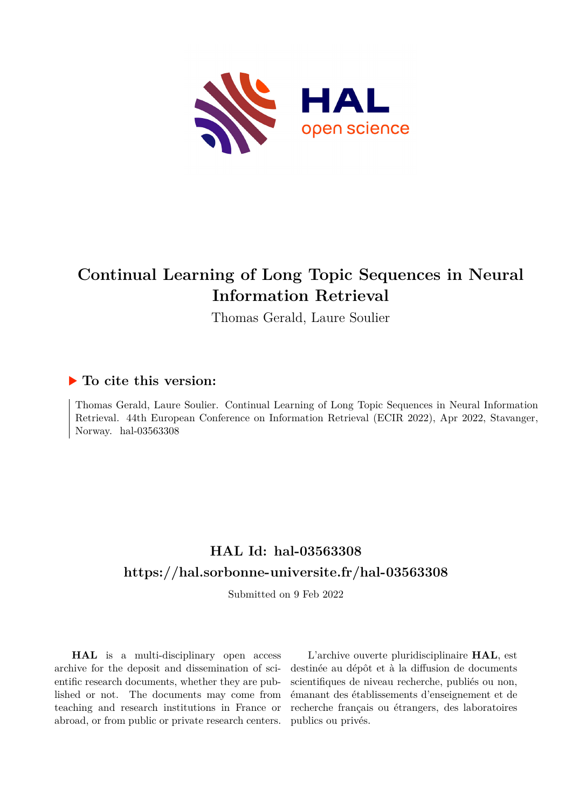

# **Continual Learning of Long Topic Sequences in Neural Information Retrieval**

Thomas Gerald, Laure Soulier

# **To cite this version:**

Thomas Gerald, Laure Soulier. Continual Learning of Long Topic Sequences in Neural Information Retrieval. 44th European Conference on Information Retrieval (ECIR 2022), Apr 2022, Stavanger, Norway. hal-03563308

# **HAL Id: hal-03563308 <https://hal.sorbonne-universite.fr/hal-03563308>**

Submitted on 9 Feb 2022

**HAL** is a multi-disciplinary open access archive for the deposit and dissemination of scientific research documents, whether they are published or not. The documents may come from teaching and research institutions in France or abroad, or from public or private research centers.

L'archive ouverte pluridisciplinaire **HAL**, est destinée au dépôt et à la diffusion de documents scientifiques de niveau recherche, publiés ou non, émanant des établissements d'enseignement et de recherche français ou étrangers, des laboratoires publics ou privés.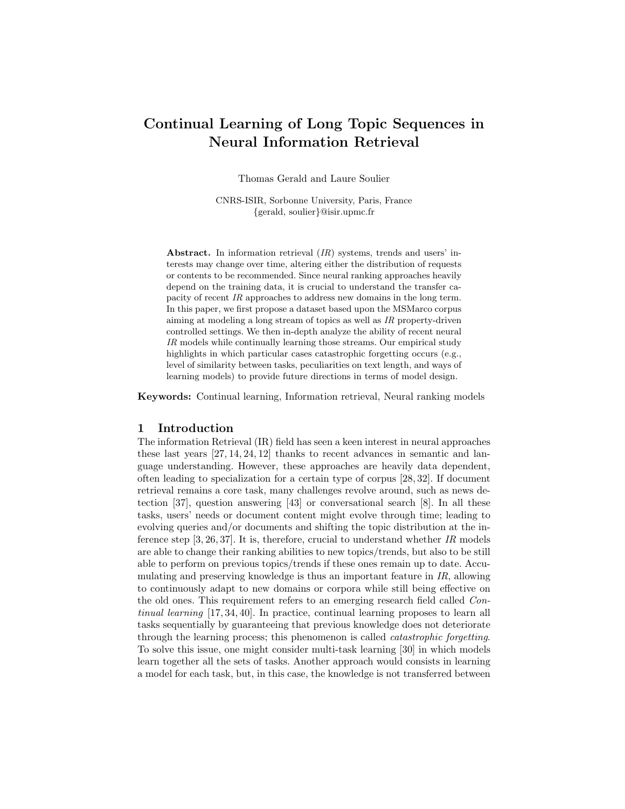# Continual Learning of Long Topic Sequences in Neural Information Retrieval

Thomas Gerald and Laure Soulier

CNRS-ISIR, Sorbonne University, Paris, France {gerald, soulier}@isir.upmc.fr

Abstract. In information retrieval (IR) systems, trends and users' interests may change over time, altering either the distribution of requests or contents to be recommended. Since neural ranking approaches heavily depend on the training data, it is crucial to understand the transfer capacity of recent IR approaches to address new domains in the long term. In this paper, we first propose a dataset based upon the MSMarco corpus aiming at modeling a long stream of topics as well as IR property-driven controlled settings. We then in-depth analyze the ability of recent neural IR models while continually learning those streams. Our empirical study highlights in which particular cases catastrophic forgetting occurs (e.g., level of similarity between tasks, peculiarities on text length, and ways of learning models) to provide future directions in terms of model design.

Keywords: Continual learning, Information retrieval, Neural ranking models

### 1 Introduction

The information Retrieval (IR) field has seen a keen interest in neural approaches these last years [27, 14, 24, 12] thanks to recent advances in semantic and language understanding. However, these approaches are heavily data dependent, often leading to specialization for a certain type of corpus [28, 32]. If document retrieval remains a core task, many challenges revolve around, such as news detection [37], question answering [43] or conversational search [8]. In all these tasks, users' needs or document content might evolve through time; leading to evolving queries and/or documents and shifting the topic distribution at the inference step  $[3, 26, 37]$ . It is, therefore, crucial to understand whether IR models are able to change their ranking abilities to new topics/trends, but also to be still able to perform on previous topics/trends if these ones remain up to date. Accumulating and preserving knowledge is thus an important feature in IR, allowing to continuously adapt to new domains or corpora while still being effective on the old ones. This requirement refers to an emerging research field called Continual learning [17, 34, 40]. In practice, continual learning proposes to learn all tasks sequentially by guaranteeing that previous knowledge does not deteriorate through the learning process; this phenomenon is called catastrophic forgetting. To solve this issue, one might consider multi-task learning [30] in which models learn together all the sets of tasks. Another approach would consists in learning a model for each task, but, in this case, the knowledge is not transferred between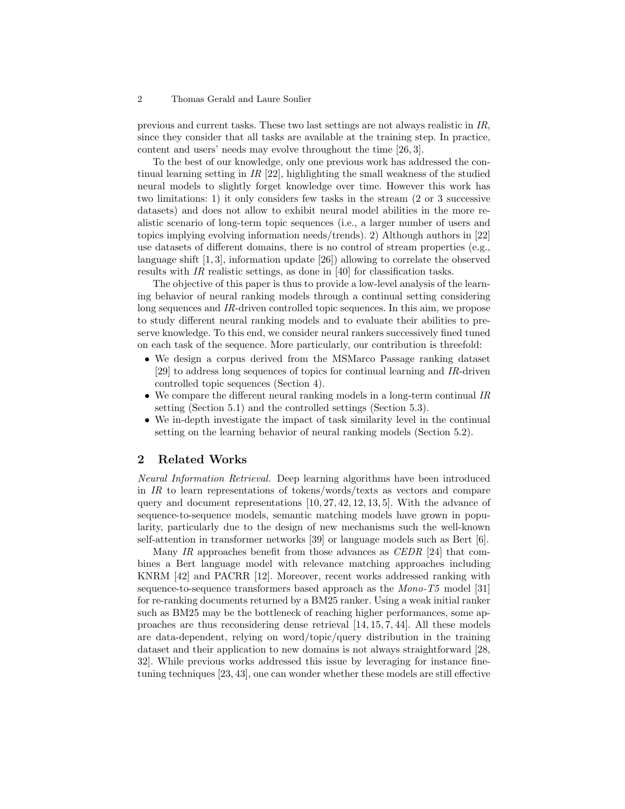previous and current tasks. These two last settings are not always realistic in IR, since they consider that all tasks are available at the training step. In practice, content and users' needs may evolve throughout the time [26, 3].

To the best of our knowledge, only one previous work has addressed the continual learning setting in  $IR$  [22], highlighting the small weakness of the studied neural models to slightly forget knowledge over time. However this work has two limitations: 1) it only considers few tasks in the stream (2 or 3 successive datasets) and does not allow to exhibit neural model abilities in the more realistic scenario of long-term topic sequences (i.e., a larger number of users and topics implying evolving information needs/trends). 2) Although authors in [22] use datasets of different domains, there is no control of stream properties (e.g., language shift [1, 3], information update [26]) allowing to correlate the observed results with IR realistic settings, as done in [40] for classification tasks.

The objective of this paper is thus to provide a low-level analysis of the learning behavior of neural ranking models through a continual setting considering long sequences and IR-driven controlled topic sequences. In this aim, we propose to study different neural ranking models and to evaluate their abilities to preserve knowledge. To this end, we consider neural rankers successively fined tuned on each task of the sequence. More particularly, our contribution is threefold:

- We design a corpus derived from the MSMarco Passage ranking dataset [29] to address long sequences of topics for continual learning and IR-driven controlled topic sequences (Section 4).
- We compare the different neural ranking models in a long-term continual IR setting (Section 5.1) and the controlled settings (Section 5.3).
- We in-depth investigate the impact of task similarity level in the continual setting on the learning behavior of neural ranking models (Section 5.2).

### 2 Related Works

Neural Information Retrieval. Deep learning algorithms have been introduced in  $IR$  to learn representations of tokens/words/texts as vectors and compare query and document representations  $[10, 27, 42, 12, 13, 5]$ . With the advance of sequence-to-sequence models, semantic matching models have grown in popularity, particularly due to the design of new mechanisms such the well-known self-attention in transformer networks [39] or language models such as Bert [6].

Many IR approaches benefit from those advances as CEDR [24] that combines a Bert language model with relevance matching approaches including KNRM [42] and PACRR [12]. Moreover, recent works addressed ranking with sequence-to-sequence transformers based approach as the Mono-T5 model [31] for re-ranking documents returned by a BM25 ranker. Using a weak initial ranker such as BM25 may be the bottleneck of reaching higher performances, some approaches are thus reconsidering dense retrieval [14, 15, 7, 44]. All these models are data-dependent, relying on word/topic/query distribution in the training dataset and their application to new domains is not always straightforward [28, 32]. While previous works addressed this issue by leveraging for instance finetuning techniques [23, 43], one can wonder whether these models are still effective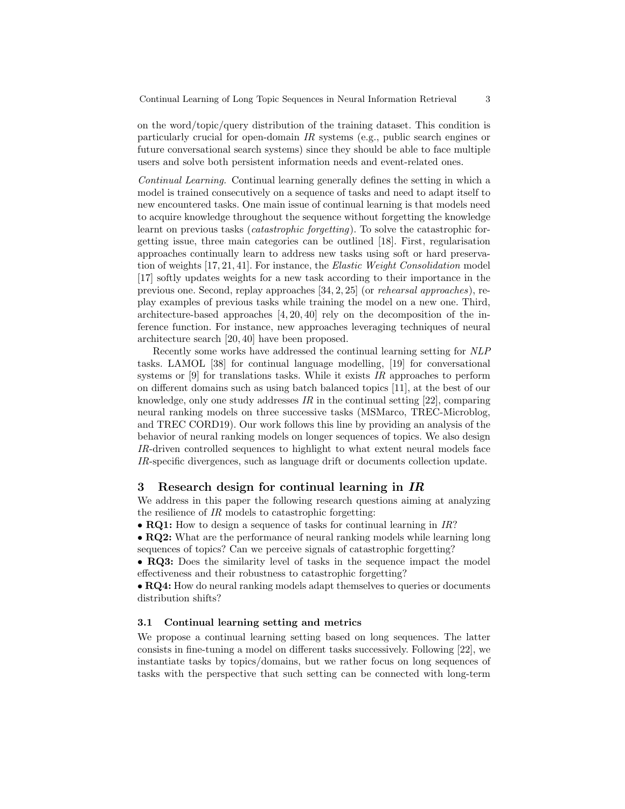on the word/topic/query distribution of the training dataset. This condition is particularly crucial for open-domain IR systems (e.g., public search engines or future conversational search systems) since they should be able to face multiple users and solve both persistent information needs and event-related ones.

Continual Learning. Continual learning generally defines the setting in which a model is trained consecutively on a sequence of tasks and need to adapt itself to new encountered tasks. One main issue of continual learning is that models need to acquire knowledge throughout the sequence without forgetting the knowledge learnt on previous tasks *(catastrophic forgetting)*. To solve the catastrophic forgetting issue, three main categories can be outlined [18]. First, regularisation approaches continually learn to address new tasks using soft or hard preservation of weights [17, 21, 41]. For instance, the Elastic Weight Consolidation model [17] softly updates weights for a new task according to their importance in the previous one. Second, replay approaches [34, 2, 25] (or rehearsal approaches), replay examples of previous tasks while training the model on a new one. Third, architecture-based approaches [4, 20, 40] rely on the decomposition of the inference function. For instance, new approaches leveraging techniques of neural architecture search [20, 40] have been proposed.

Recently some works have addressed the continual learning setting for NLP tasks. LAMOL [38] for continual language modelling, [19] for conversational systems or  $[9]$  for translations tasks. While it exists IR approaches to perform on different domains such as using batch balanced topics [11], at the best of our knowledge, only one study addresses  $IR$  in the continual setting [22], comparing neural ranking models on three successive tasks (MSMarco, TREC-Microblog, and TREC CORD19). Our work follows this line by providing an analysis of the behavior of neural ranking models on longer sequences of topics. We also design IR-driven controlled sequences to highlight to what extent neural models face IR-specific divergences, such as language drift or documents collection update.

# 3 Research design for continual learning in IR

We address in this paper the following research questions aiming at analyzing the resilience of IR models to catastrophic forgetting:

• **RQ1:** How to design a sequence of tasks for continual learning in IR?

• RQ2: What are the performance of neural ranking models while learning long sequences of topics? Can we perceive signals of catastrophic forgetting?

• RQ3: Does the similarity level of tasks in the sequence impact the model effectiveness and their robustness to catastrophic forgetting?

• RQ4: How do neural ranking models adapt themselves to queries or documents distribution shifts?

#### 3.1 Continual learning setting and metrics

We propose a continual learning setting based on long sequences. The latter consists in fine-tuning a model on different tasks successively. Following [22], we instantiate tasks by topics/domains, but we rather focus on long sequences of tasks with the perspective that such setting can be connected with long-term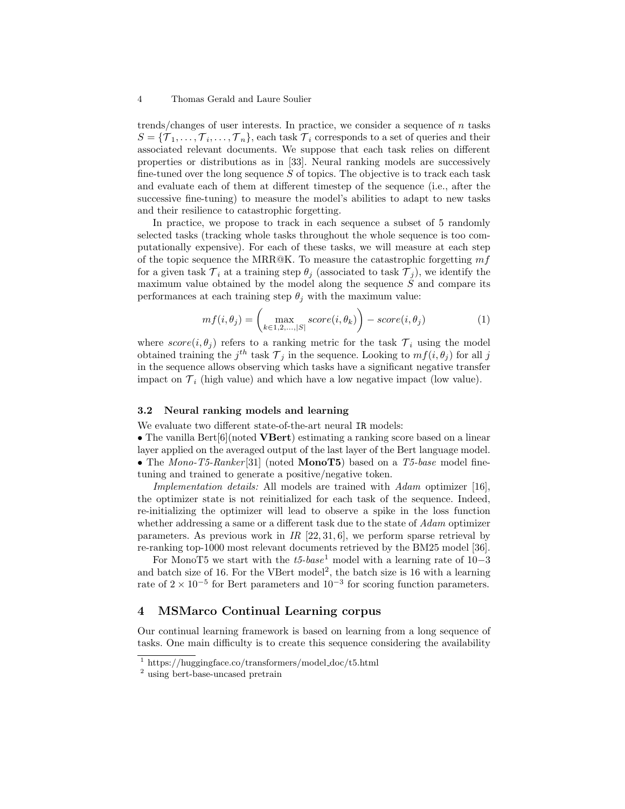trends/changes of user interests. In practice, we consider a sequence of  $n$  tasks  $S = {\mathcal{T}_1, \ldots, \mathcal{T}_i, \ldots, \mathcal{T}_n}$ , each task  $\mathcal{T}_i$  corresponds to a set of queries and their associated relevant documents. We suppose that each task relies on different properties or distributions as in [33]. Neural ranking models are successively fine-tuned over the long sequence  $S$  of topics. The objective is to track each task and evaluate each of them at different timestep of the sequence (i.e., after the successive fine-tuning) to measure the model's abilities to adapt to new tasks and their resilience to catastrophic forgetting.

In practice, we propose to track in each sequence a subset of 5 randomly selected tasks (tracking whole tasks throughout the whole sequence is too computationally expensive). For each of these tasks, we will measure at each step of the topic sequence the MRR@K. To measure the catastrophic forgetting  $mf$ for a given task  $\mathcal{T}_i$  at a training step  $\theta_i$  (associated to task  $\mathcal{T}_i$ ), we identify the maximum value obtained by the model along the sequence  $S$  and compare its performances at each training step  $\theta_i$  with the maximum value:

$$
mf(i, \theta_j) = \left(\max_{k \in 1, 2, \dots, |S|} score(i, \theta_k)\right) - score(i, \theta_j)
$$
\n(1)

where  $score(i, \theta_i)$  refers to a ranking metric for the task  $\mathcal{T}_i$  using the model obtained training the  $j^{th}$  task  $\mathcal{T}_j$  in the sequence. Looking to  $mf(i, \theta_j)$  for all j in the sequence allows observing which tasks have a significant negative transfer impact on  $\mathcal{T}_i$  (high value) and which have a low negative impact (low value).

#### 3.2 Neural ranking models and learning

We evaluate two different state-of-the-art neural IR models:

• The vanilla Bert[6](noted **VBert**) estimating a ranking score based on a linear layer applied on the averaged output of the last layer of the Bert language model. • The Mono-T5-Ranker [31] (noted **MonoT5**) based on a T5-base model finetuning and trained to generate a positive/negative token.

Implementation details: All models are trained with Adam optimizer [16], the optimizer state is not reinitialized for each task of the sequence. Indeed, re-initializing the optimizer will lead to observe a spike in the loss function whether addressing a same or a different task due to the state of Adam optimizer parameters. As previous work in  $IR$  [22, 31, 6], we perform sparse retrieval by re-ranking top-1000 most relevant documents retrieved by the BM25 model [36].

For MonoT5 we start with the  $t5-base<sup>1</sup>$  model with a learning rate of 10−3 and batch size of 16. For the VBert model<sup>2</sup>, the batch size is 16 with a learning rate of  $2 \times 10^{-5}$  for Bert parameters and  $10^{-3}$  for scoring function parameters.

# 4 MSMarco Continual Learning corpus

Our continual learning framework is based on learning from a long sequence of tasks. One main difficulty is to create this sequence considering the availability

<sup>1</sup> https://huggingface.co/transformers/model doc/t5.html

<sup>2</sup> using bert-base-uncased pretrain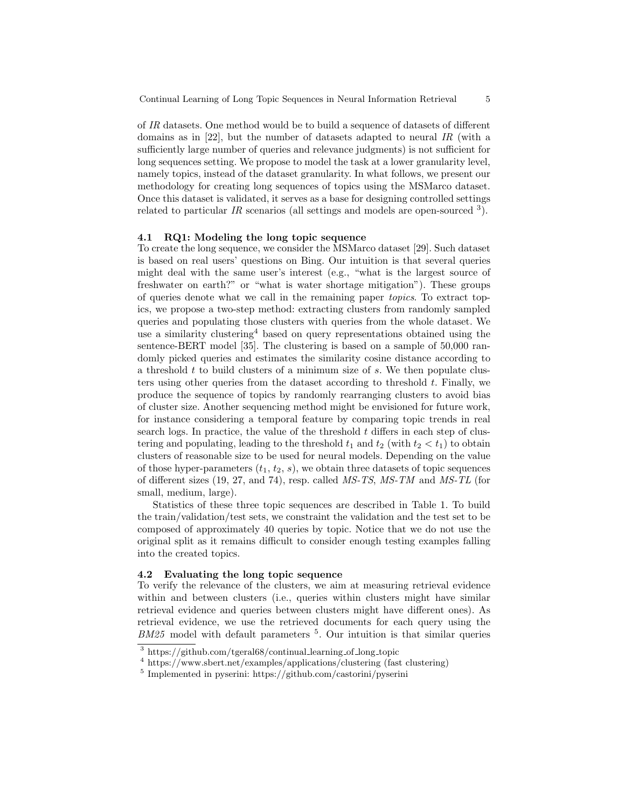of IR datasets. One method would be to build a sequence of datasets of different domains as in [22], but the number of datasets adapted to neural IR (with a sufficiently large number of queries and relevance judgments) is not sufficient for long sequences setting. We propose to model the task at a lower granularity level, namely topics, instead of the dataset granularity. In what follows, we present our methodology for creating long sequences of topics using the MSMarco dataset. Once this dataset is validated, it serves as a base for designing controlled settings related to particular IR scenarios (all settings and models are open-sourced  $3$ ).

#### 4.1 RQ1: Modeling the long topic sequence

To create the long sequence, we consider the MSMarco dataset [29]. Such dataset is based on real users' questions on Bing. Our intuition is that several queries might deal with the same user's interest (e.g., "what is the largest source of freshwater on earth?" or "what is water shortage mitigation"). These groups of queries denote what we call in the remaining paper topics. To extract topics, we propose a two-step method: extracting clusters from randomly sampled queries and populating those clusters with queries from the whole dataset. We use a similarity clustering  $4$  based on query representations obtained using the sentence-BERT model [35]. The clustering is based on a sample of 50,000 randomly picked queries and estimates the similarity cosine distance according to a threshold  $t$  to build clusters of a minimum size of  $s$ . We then populate clusters using other queries from the dataset according to threshold  $t$ . Finally, we produce the sequence of topics by randomly rearranging clusters to avoid bias of cluster size. Another sequencing method might be envisioned for future work, for instance considering a temporal feature by comparing topic trends in real search logs. In practice, the value of the threshold  $t$  differs in each step of clustering and populating, leading to the threshold  $t_1$  and  $t_2$  (with  $t_2 < t_1$ ) to obtain clusters of reasonable size to be used for neural models. Depending on the value of those hyper-parameters  $(t_1, t_2, s)$ , we obtain three datasets of topic sequences of different sizes (19, 27, and 74), resp. called MS-TS, MS-TM and MS-TL (for small, medium, large).

Statistics of these three topic sequences are described in Table 1. To build the train/validation/test sets, we constraint the validation and the test set to be composed of approximately 40 queries by topic. Notice that we do not use the original split as it remains difficult to consider enough testing examples falling into the created topics.

#### 4.2 Evaluating the long topic sequence

To verify the relevance of the clusters, we aim at measuring retrieval evidence within and between clusters (i.e., queries within clusters might have similar retrieval evidence and queries between clusters might have different ones). As retrieval evidence, we use the retrieved documents for each query using the  $BM25$  model with default parameters  $5$ . Our intuition is that similar queries

<sup>3</sup> https://github.com/tgeral68/continual learning of long topic

<sup>4</sup> https://www.sbert.net/examples/applications/clustering (fast clustering)

<sup>5</sup> Implemented in pyserini: https://github.com/castorini/pyserini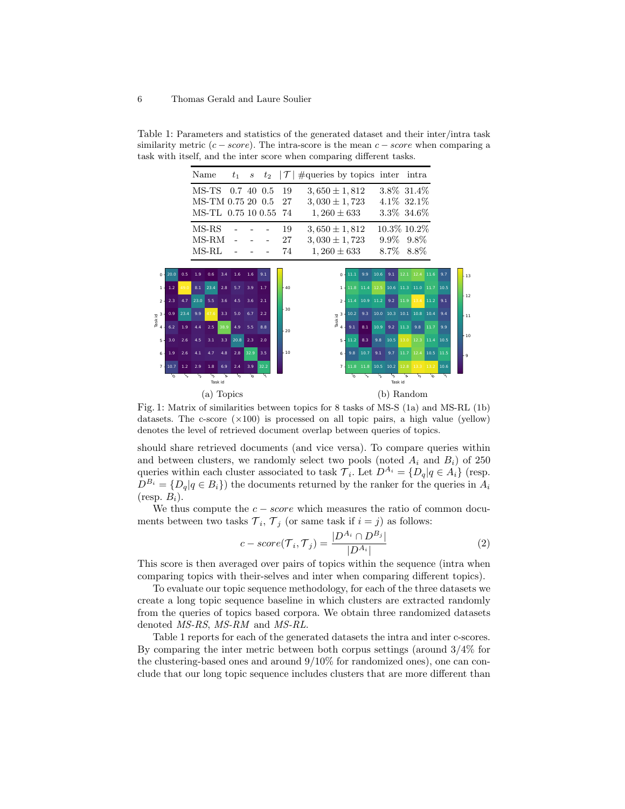Table 1: Parameters and statistics of the generated dataset and their inter/intra task similarity metric  $(c - score)$ . The intra-score is the mean  $c - score$  when comparing a task with itself, and the inter score when comparing different tasks.

|                                 |            |      | Name       |                                     |      | $t_{1}$ | $\boldsymbol{s}$ |                                     |          | $t_2$ $ \mathcal{T} $ #queries by topics inter intra |                                        |                |      |            |                                         |                 |                                  |                |                                |      |       |
|---------------------------------|------------|------|------------|-------------------------------------|------|---------|------------------|-------------------------------------|----------|------------------------------------------------------|----------------------------------------|----------------|------|------------|-----------------------------------------|-----------------|----------------------------------|----------------|--------------------------------|------|-------|
|                                 |            |      | MS-TS      |                                     |      |         |                  | $0.7\;40\;0.5$<br>MS-TM 0.75 20 0.5 | 19<br>27 |                                                      | $3,650 \pm 1,812$<br>$3,030 \pm 1,723$ |                |      |            |                                         |                 | $3.8\%$ 31.4\%<br>$4.1\%$ 32.1\% |                |                                |      |       |
|                                 |            |      |            |                                     |      |         |                  | MS-TL 0.75 10 0.55                  | 74       |                                                      | $1,260 \pm 633$                        |                |      |            |                                         |                 | 3.3\% 34.6\%                     |                |                                |      |       |
|                                 |            |      | $MS-RS$    |                                     |      |         |                  |                                     | 19       |                                                      | $3,650 \pm 1,812$                      |                |      |            |                                         |                 | $10.3\%$ 10.2\%                  |                |                                |      |       |
|                                 |            |      | MS-RM      |                                     |      |         |                  |                                     | 27       |                                                      | $3,030 \pm 1,723$                      |                |      |            |                                         |                 | $9.9\%$ $9.8\%$                  |                |                                |      |       |
|                                 |            |      | $MS-RL$    |                                     |      |         |                  |                                     | 74       |                                                      | $1,260 \pm 633$                        |                |      |            |                                         |                 | 8.7\% 8.8\%                      |                |                                |      |       |
|                                 |            |      |            |                                     |      |         |                  |                                     |          |                                                      |                                        |                |      |            |                                         |                 |                                  |                |                                |      |       |
|                                 | $0 - 20.0$ | 0.5  | 1.9        | 0.6                                 | 3.4  | 1.6     | 1.6              | 9.1                                 |          |                                                      |                                        |                |      | 9.9        | 10.6                                    | 9.1             |                                  | 12.1 12.4 11.6 |                                | 9.7  | $-13$ |
| 1 <sup>1</sup>                  | 1.2        | 49.0 |            | 8.1 23.4 2.8                        |      | 5.7     | 3.9              | 1.7                                 | $-40$    |                                                      |                                        | $1 +$          |      |            | 11.8 11.4 12.5 10.6 11.3 11.0 11.7 10.5 |                 |                                  |                |                                |      |       |
| $2 -$                           | 2.3        | 4.7  | 23.0       | 5.5                                 | 3.6  | 4.5     | 3.6              | 2.1                                 |          |                                                      |                                        | $\overline{2}$ |      |            | 11.4 10.9 11.2 9.2 11.9 13.4 11.2       |                 |                                  |                |                                | 9.1  | $-12$ |
| $\frac{10}{16}$ $\frac{3}{4}$ . | 0.9        |      | $23.4$ 9.9 | 47.6                                | 3.3  | 5.0     | 6.7              | 2.2                                 | $-30$    |                                                      |                                        |                |      | $10.2$ 9.3 |                                         |                 |                                  |                | $10.0$ 10.3 10.1 10.8 10.4 9.4 |      | l 11  |
|                                 | 6.2        | 1.9  | 4.4        | 2.5                                 | 38.9 | 4.9     | 5.5              | 8.8                                 | $-20$    |                                                      |                                        |                | 9.1  | 8.1        |                                         |                 | $10.9$ 9.2 11.3                  | 9.8            | $11.7$                         | 9.9  |       |
| $5 -$                           | 3.0        | 2.6  | 4.5        | $3.1\quad 3.3$                      |      | 20.8    | 2.3              | 2.0                                 |          |                                                      |                                        | $5 -$          | 11.2 | 8.3        |                                         | $9.8\quad 10.5$ |                                  |                | 13.0 12.3 11.4 10.5            |      | $-10$ |
| $6 -$                           | 1.9        | 2.6  | 4.1        | 4.7                                 | 4.8  | 2.8     | 32.9             | 3.5                                 | - 10     |                                                      |                                        | $6 -$          | 9.8  | 10.7       | 9.1                                     | 9.7             |                                  |                | 11.7 12.4 10.5 11.5            |      | L۹    |
|                                 | $7 - 10.7$ | 1.2  | 2.9        | 1.8                                 | 6.9  | 2.4     | 3.9              | 32.2                                |          |                                                      |                                        | $7 -$          |      |            | 11.8 11.8 10.5 10.2 12.8                |                 |                                  |                | 13.3 13.2                      | 10.6 |       |
|                                 | °          | ╲    | 'n         | $\overline{\phantom{a}}$<br>Task id | Þ.   | ৸       | 'ত               | $\sqrt{ }$                          |          |                                                      |                                        |                | ъ,   | ╲          | ′Ղ                                      | 'শ<br>Task id   | $\alpha$                         | ্য             | 'ত                             |      |       |
| (a) Topics                      |            |      |            |                                     |      |         |                  |                                     |          |                                                      |                                        |                |      | (b) Random |                                         |                 |                                  |                |                                |      |       |

Fig. 1: Matrix of similarities between topics for 8 tasks of MS-S (1a) and MS-RL (1b) datasets. The c-score  $(\times 100)$  is processed on all topic pairs, a high value (yellow) denotes the level of retrieved document overlap between queries of topics.

should share retrieved documents (and vice versa). To compare queries within and between clusters, we randomly select two pools (noted  $A_i$  and  $B_i$ ) of 250 queries within each cluster associated to task  $\mathcal{T}_i$ . Let  $D^{A_i} = \{D_q | q \in A_i\}$  (resp.  $D^{B_i} = \{D_q | q \in B_i\}$  the documents returned by the ranker for the queries in  $A_i$  $(r \exp. B_i)$ .

We thus compute the  $c - score$  which measures the ratio of common documents between two tasks  $\mathcal{T}_i$ ,  $\mathcal{T}_j$  (or same task if  $i = j$ ) as follows:

$$
c-score(\mathcal{T}_i, \mathcal{T}_j) = \frac{|D^{A_i} \cap D^{B_j}|}{|D^{A_i}|}
$$
\n(2)

This score is then averaged over pairs of topics within the sequence (intra when comparing topics with their-selves and inter when comparing different topics).

To evaluate our topic sequence methodology, for each of the three datasets we create a long topic sequence baseline in which clusters are extracted randomly from the queries of topics based corpora. We obtain three randomized datasets denoted MS-RS, MS-RM and MS-RL.

Table 1 reports for each of the generated datasets the intra and inter c-scores. By comparing the inter metric between both corpus settings (around 3/4% for the clustering-based ones and around  $9/10\%$  for randomized ones), one can conclude that our long topic sequence includes clusters that are more different than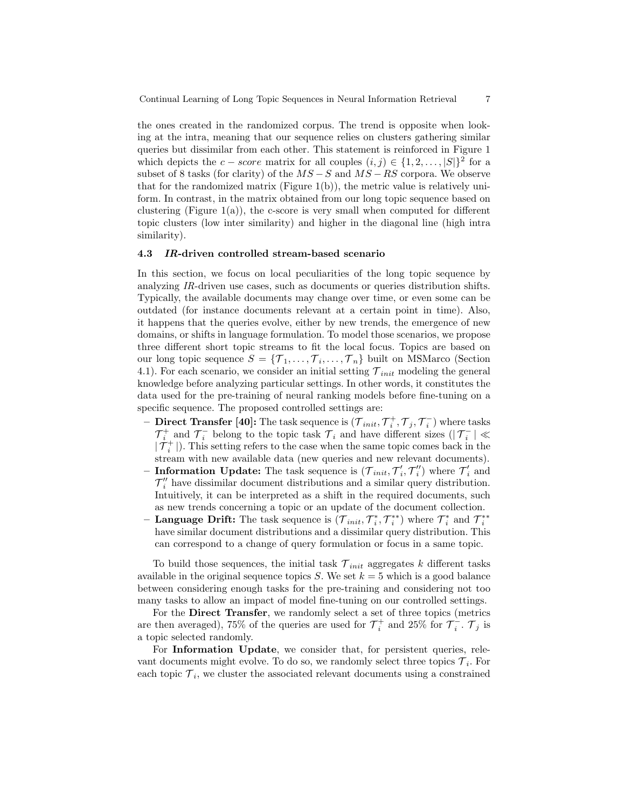Continual Learning of Long Topic Sequences in Neural Information Retrieval 7

the ones created in the randomized corpus. The trend is opposite when looking at the intra, meaning that our sequence relies on clusters gathering similar queries but dissimilar from each other. This statement is reinforced in Figure 1 which depicts the  $c - score$  matrix for all couples  $(i, j) \in \{1, 2, ..., |S|\}^2$  for a subset of 8 tasks (for clarity) of the  $MS - S$  and  $MS - RS$  corpora. We observe that for the randomized matrix (Figure 1(b)), the metric value is relatively uniform. In contrast, in the matrix obtained from our long topic sequence based on clustering (Figure  $1(a)$ ), the c-score is very small when computed for different topic clusters (low inter similarity) and higher in the diagonal line (high intra similarity).

#### 4.3 IR-driven controlled stream-based scenario

In this section, we focus on local peculiarities of the long topic sequence by analyzing IR-driven use cases, such as documents or queries distribution shifts. Typically, the available documents may change over time, or even some can be outdated (for instance documents relevant at a certain point in time). Also, it happens that the queries evolve, either by new trends, the emergence of new domains, or shifts in language formulation. To model those scenarios, we propose three different short topic streams to fit the local focus. Topics are based on our long topic sequence  $S = \{T_1, \ldots, T_i, \ldots, T_n\}$  built on MSMarco (Section 4.1). For each scenario, we consider an initial setting  $\mathcal{T}_{init}$  modeling the general knowledge before analyzing particular settings. In other words, it constitutes the data used for the pre-training of neural ranking models before fine-tuning on a specific sequence. The proposed controlled settings are:

- Direct Transfer [40]: The task sequence is  $(\mathcal{T}_{init}, \mathcal{T}_i^+, \mathcal{T}_j, \mathcal{T}_i^-)$  where tasks  $\mathcal{T}_{i}^{+}$  and  $\mathcal{T}_{i}^{-}$  belong to the topic task  $\mathcal{T}_{i}$  and have different sizes  $(|\mathcal{T}_{i}^{-}| \ll$  $|\mathcal{T}_{i}^{+}|$ ). This setting refers to the case when the same topic comes back in the stream with new available data (new queries and new relevant documents).
- Information Update: The task sequence is  $(\mathcal{T}_{init}, \mathcal{T}'_i, \mathcal{T}''_i)$  where  $\mathcal{T}'_i$  and  $\mathcal{T}''_i$  have dissimilar document distributions and a similar query distribution. Intuitively, it can be interpreted as a shift in the required documents, such as new trends concerning a topic or an update of the document collection.
- Language Drift: The task sequence is  $(\mathcal{T}_{init}, \mathcal{T}_i^*, \mathcal{T}_i^{**})$  where  $\mathcal{T}_i^*$  and  $\mathcal{T}_i^{**}$ have similar document distributions and a dissimilar query distribution. This can correspond to a change of query formulation or focus in a same topic.

To build those sequences, the initial task  $\mathcal{T}_{init}$  aggregates k different tasks available in the original sequence topics S. We set  $k = 5$  which is a good balance between considering enough tasks for the pre-training and considering not too many tasks to allow an impact of model fine-tuning on our controlled settings.

For the Direct Transfer, we randomly select a set of three topics (metrics are then averaged), 75% of the queries are used for  $\mathcal{T}_i^+$  and 25% for  $\mathcal{T}_i^-$ .  $\mathcal{T}_j$  is a topic selected randomly.

For Information Update, we consider that, for persistent queries, relevant documents might evolve. To do so, we randomly select three topics  $\mathcal{T}_i$ . For each topic  $\mathcal{T}_i$ , we cluster the associated relevant documents using a constrained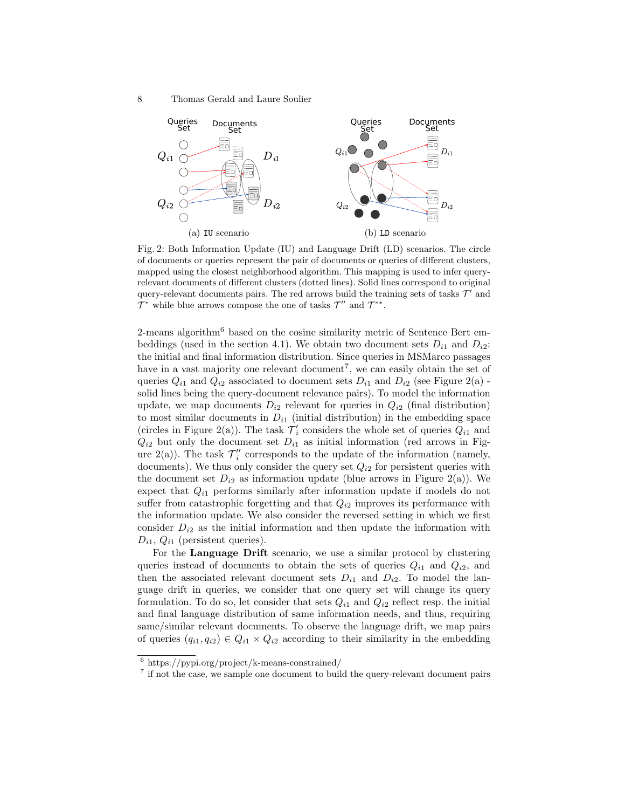8 Thomas Gerald and Laure Soulier



Fig. 2: Both Information Update (IU) and Language Drift (LD) scenarios. The circle of documents or queries represent the pair of documents or queries of different clusters, mapped using the closest neighborhood algorithm. This mapping is used to infer queryrelevant documents of different clusters (dotted lines). Solid lines correspond to original query-relevant documents pairs. The red arrows build the training sets of tasks  $\mathcal{T}'$  and  $\mathcal{T}^*$  while blue arrows compose the one of tasks  $\mathcal{T}''$  and  $\mathcal{T}^{**}$ .

2-means algorithm<sup>6</sup> based on the cosine similarity metric of Sentence Bert embeddings (used in the section 4.1). We obtain two document sets  $D_{i1}$  and  $D_{i2}$ : the initial and final information distribution. Since queries in MSMarco passages have in a vast majority one relevant document<sup>7</sup>, we can easily obtain the set of queries  $Q_{i1}$  and  $Q_{i2}$  associated to document sets  $D_{i1}$  and  $D_{i2}$  (see Figure 2(a) solid lines being the query-document relevance pairs). To model the information update, we map documents  $D_{i2}$  relevant for queries in  $Q_{i2}$  (final distribution) to most similar documents in  $D_{i1}$  (initial distribution) in the embedding space (circles in Figure 2(a)). The task  $\mathcal{T}'_i$  considers the whole set of queries  $Q_{i1}$  and  $Q_{i2}$  but only the document set  $D_{i1}$  as initial information (red arrows in Figure 2(a)). The task  $\mathcal{T}''_i$  corresponds to the update of the information (namely, documents). We thus only consider the query set  $Q_{i2}$  for persistent queries with the document set  $D_{i2}$  as information update (blue arrows in Figure 2(a)). We expect that  $Q_{i1}$  performs similarly after information update if models do not suffer from catastrophic forgetting and that  $Q_{i2}$  improves its performance with the information update. We also consider the reversed setting in which we first consider  $D_{i2}$  as the initial information and then update the information with  $D_{i1}$ ,  $Q_{i1}$  (persistent queries).

For the Language Drift scenario, we use a similar protocol by clustering queries instead of documents to obtain the sets of queries  $Q_{i1}$  and  $Q_{i2}$ , and then the associated relevant document sets  $D_{i1}$  and  $D_{i2}$ . To model the language drift in queries, we consider that one query set will change its query formulation. To do so, let consider that sets  $Q_{i1}$  and  $Q_{i2}$  reflect resp. the initial and final language distribution of same information needs, and thus, requiring same/similar relevant documents. To observe the language drift, we map pairs of queries  $(q_{i1}, q_{i2}) \in Q_{i1} \times Q_{i2}$  according to their similarity in the embedding

 $6$  https://pypi.org/project/k-means-constrained/

<sup>&</sup>lt;sup>7</sup> if not the case, we sample one document to build the query-relevant document pairs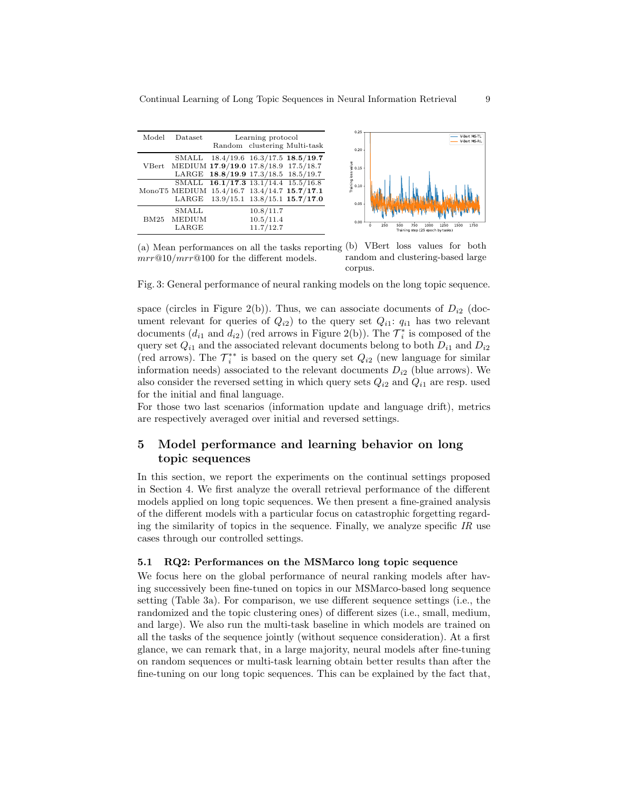|                  |                          |                                                                                                                    |                                     |                                                                                                                              | 0.25                                                |                                                                                        |
|------------------|--------------------------|--------------------------------------------------------------------------------------------------------------------|-------------------------------------|------------------------------------------------------------------------------------------------------------------------------|-----------------------------------------------------|----------------------------------------------------------------------------------------|
| Model            | <b>Dataset</b>           |                                                                                                                    | Learning protocol                   | Random clustering Multi-task                                                                                                 | 0.20                                                | V-Bert MS-TL<br>V-Bert MS-RL                                                           |
| $V\mathrm{Bert}$ | SMALL                    | MEDIUM 17.9/19.0 17.8/18.9 17.5/18.7<br>LARGE 18.8/19.9 17.3/18.5 18.5/19.7<br>SMALL 16.1/17.3 13.1/14.4 15.5/16.8 |                                     | $18.4/19.6$ 16.3/17.5 <b>18.5/19.7</b><br>MonoT5 MEDIUM 15.4/16.7 13.4/14.7 15.7/17.1<br>LARGE 13.9/15.1 13.8/15.1 15.7/17.0 | $\frac{9}{5}$ 0.15<br>Training loss<br>0.10<br>0.05 |                                                                                        |
| <b>BM25</b>      | SMALL<br>MEDIUM<br>LARGE |                                                                                                                    | 10.8/11.7<br>10.5/11.4<br>11.7/12.7 |                                                                                                                              | 0.00                                                | 250<br>1750<br>500<br>750<br>1000<br>1250<br>1500<br>Training step (25 epoch by tasks) |

(a) Mean performances on all the tasks reporting (b) VBert loss values for both  $mrr@10/mrr@100$  for the different models. random and clustering-based large corpus.

Fig. 3: General performance of neural ranking models on the long topic sequence.

space (circles in Figure 2(b)). Thus, we can associate documents of  $D_{i2}$  (document relevant for queries of  $Q_{i2}$ ) to the query set  $Q_{i1}$ :  $q_{i1}$  has two relevant documents  $(d_{i1} \text{ and } d_{i2})$  (red arrows in Figure 2(b)). The  $\mathcal{T}_i^*$  is composed of the query set  $Q_{i1}$  and the associated relevant documents belong to both  $D_{i1}$  and  $D_{i2}$ (red arrows). The  $\mathcal{T}_{i}^{**}$  is based on the query set  $Q_{i2}$  (new language for similar information needs) associated to the relevant documents  $D_{i2}$  (blue arrows). We also consider the reversed setting in which query sets  $Q_{i2}$  and  $Q_{i1}$  are resp. used for the initial and final language.

For those two last scenarios (information update and language drift), metrics are respectively averaged over initial and reversed settings.

# 5 Model performance and learning behavior on long topic sequences

In this section, we report the experiments on the continual settings proposed in Section 4. We first analyze the overall retrieval performance of the different models applied on long topic sequences. We then present a fine-grained analysis of the different models with a particular focus on catastrophic forgetting regarding the similarity of topics in the sequence. Finally, we analyze specific  $IR$  use cases through our controlled settings.

#### 5.1 RQ2: Performances on the MSMarco long topic sequence

We focus here on the global performance of neural ranking models after having successively been fine-tuned on topics in our MSMarco-based long sequence setting (Table 3a). For comparison, we use different sequence settings (i.e., the randomized and the topic clustering ones) of different sizes (i.e., small, medium, and large). We also run the multi-task baseline in which models are trained on all the tasks of the sequence jointly (without sequence consideration). At a first glance, we can remark that, in a large majority, neural models after fine-tuning on random sequences or multi-task learning obtain better results than after the fine-tuning on our long topic sequences. This can be explained by the fact that,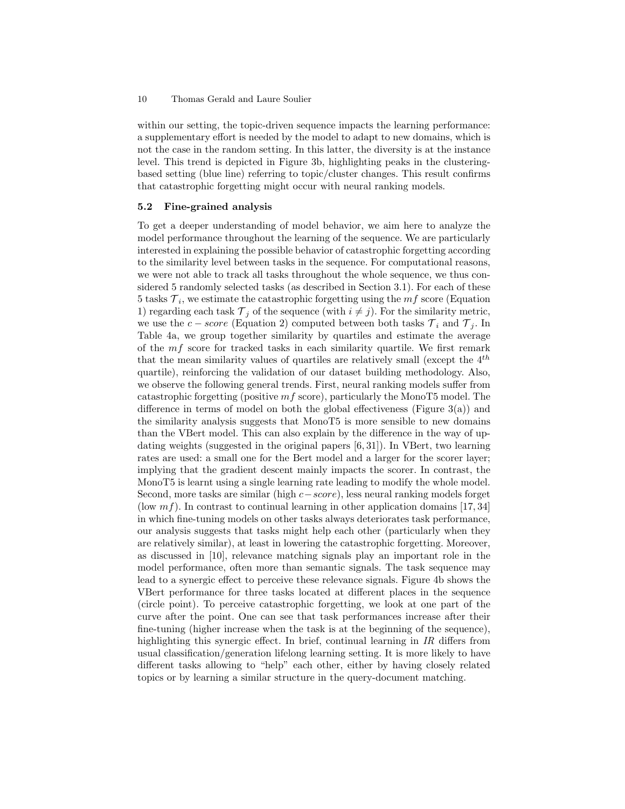within our setting, the topic-driven sequence impacts the learning performance: a supplementary effort is needed by the model to adapt to new domains, which is not the case in the random setting. In this latter, the diversity is at the instance level. This trend is depicted in Figure 3b, highlighting peaks in the clusteringbased setting (blue line) referring to topic/cluster changes. This result confirms that catastrophic forgetting might occur with neural ranking models.

#### 5.2 Fine-grained analysis

To get a deeper understanding of model behavior, we aim here to analyze the model performance throughout the learning of the sequence. We are particularly interested in explaining the possible behavior of catastrophic forgetting according to the similarity level between tasks in the sequence. For computational reasons, we were not able to track all tasks throughout the whole sequence, we thus considered 5 randomly selected tasks (as described in Section 3.1). For each of these 5 tasks  $\mathcal{T}_i$ , we estimate the catastrophic forgetting using the  $mf$  score (Equation 1) regarding each task  $\mathcal{T}_j$  of the sequence (with  $i \neq j$ ). For the similarity metric, we use the  $c - score$  (Equation 2) computed between both tasks  $\mathcal{T}_i$  and  $\mathcal{T}_j$ . In Table 4a, we group together similarity by quartiles and estimate the average of the  $mf$  score for tracked tasks in each similarity quartile. We first remark that the mean similarity values of quartiles are relatively small (except the  $4^{th}$ quartile), reinforcing the validation of our dataset building methodology. Also, we observe the following general trends. First, neural ranking models suffer from catastrophic forgetting (positive  $mf$  score), particularly the MonoT5 model. The difference in terms of model on both the global effectiveness (Figure 3(a)) and the similarity analysis suggests that MonoT5 is more sensible to new domains than the VBert model. This can also explain by the difference in the way of updating weights (suggested in the original papers [6, 31]). In VBert, two learning rates are used: a small one for the Bert model and a larger for the scorer layer; implying that the gradient descent mainly impacts the scorer. In contrast, the MonoT5 is learnt using a single learning rate leading to modify the whole model. Second, more tasks are similar (high c−score), less neural ranking models forget (low  $mf$ ). In contrast to continual learning in other application domains [17, 34] in which fine-tuning models on other tasks always deteriorates task performance, our analysis suggests that tasks might help each other (particularly when they are relatively similar), at least in lowering the catastrophic forgetting. Moreover, as discussed in [10], relevance matching signals play an important role in the model performance, often more than semantic signals. The task sequence may lead to a synergic effect to perceive these relevance signals. Figure 4b shows the VBert performance for three tasks located at different places in the sequence (circle point). To perceive catastrophic forgetting, we look at one part of the curve after the point. One can see that task performances increase after their fine-tuning (higher increase when the task is at the beginning of the sequence), highlighting this synergic effect. In brief, continual learning in IR differs from usual classification/generation lifelong learning setting. It is more likely to have different tasks allowing to "help" each other, either by having closely related topics or by learning a similar structure in the query-document matching.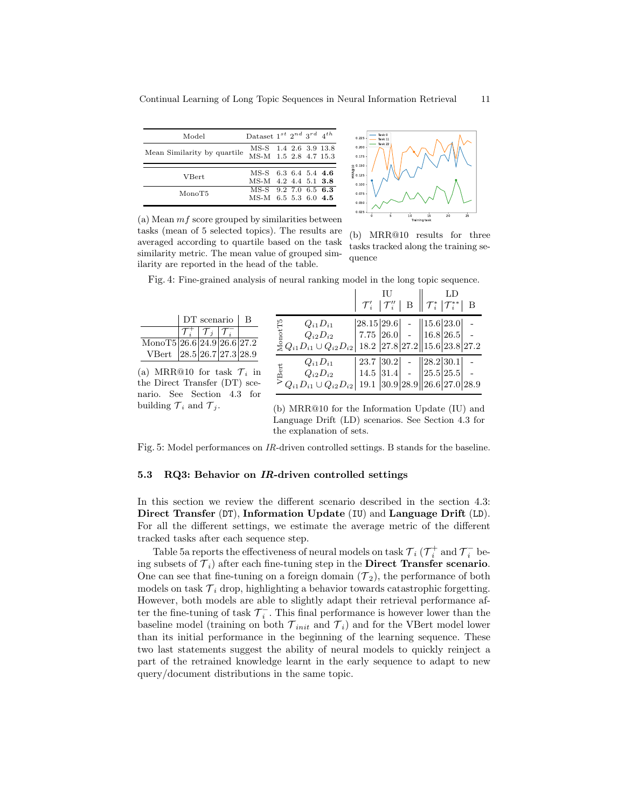| Model                       | Dataset $1^{st}$ $2^{nd}$ $3^{rd}$ $\ 4^{th}$  |  |  |
|-----------------------------|------------------------------------------------|--|--|
| Mean Similarity by quartile | MS-S 1.4 2.6 3.9 13.8<br>MS-M 1.5 2.8 4.7 15.3 |  |  |
|                             |                                                |  |  |
| <b>V</b> Bert               | MS-S 6.3 6.4 5.4 4.6<br>MS-M 4.2 4.4 5.1 3.8   |  |  |
|                             | MS-S 9.2 7.0 6.5 6.3                           |  |  |
| MonoT5                      |                                                |  |  |
|                             | MS-M 6.5 5.3 6.0 4.5                           |  |  |



(a) Mean  $mf$  score grouped by similarities between tasks (mean of 5 selected topics). The results are averaged according to quartile based on the task similarity metric. The mean value of grouped similarity are reported in the head of the table.

(b) MRR@10 results for three tasks tracked along the training sequence

Fig. 4: Fine-grained analysis of neural ranking model in the long topic sequence.

|                                                           |                                                                                                                                                                                                                                                                                                                                                                                                                                                                             | $\begin{array}{c c} & \textrm{IU} & \textrm{LD} \ \hline \mathcal{T}'_i & \mathcal{T}''_i & \textrm{B} \end{array} \Bigg\  \mathcal{T}^*_i \begin{array}{c c} \textrm{LD} \ \hline \mathcal{T}^*_i & \mathcal{T}^{**}_i & \textrm{B} \end{array}$ |  |  |
|-----------------------------------------------------------|-----------------------------------------------------------------------------------------------------------------------------------------------------------------------------------------------------------------------------------------------------------------------------------------------------------------------------------------------------------------------------------------------------------------------------------------------------------------------------|---------------------------------------------------------------------------------------------------------------------------------------------------------------------------------------------------------------------------------------------------|--|--|
| $DT$ scenario $ B $                                       |                                                                                                                                                                                                                                                                                                                                                                                                                                                                             |                                                                                                                                                                                                                                                   |  |  |
| $\mathcal{T}_i^+ \mid \mathcal{T}_j \mid \mathcal{T}_i^-$ | $\begin{array}{c c c c} $ \begin{array}{c} \mathbb{P} \\ \mathbb{E} \\ Q_{i2}D_{i2} \end{array} & \begin{array}{c} \left[ 28.15 \left  29.6 \right  \\ 26.0 \right  \\ \left[ 26.0 \right] \end{array} & - \begin{array}{c} \left[ 15.6 \left  23.0 \right  \\ 16.8 \left  26.5 \right  \\ 26.5 \right  \\ \left[ 15.6 \left  23.8 \right  27.2 \end{array} \right] & - \\ \begin{array}{c} \mathbb{E} \\ \mathbb{E} \\ \mathbb{E$                                          |                                                                                                                                                                                                                                                   |  |  |
| Mono $\overline{15 26.6 24.9 26.6 27.2}$                  |                                                                                                                                                                                                                                                                                                                                                                                                                                                                             |                                                                                                                                                                                                                                                   |  |  |
| VBert 28.5 26.7 27.3 28.9                                 |                                                                                                                                                                                                                                                                                                                                                                                                                                                                             |                                                                                                                                                                                                                                                   |  |  |
| (a) MRR@10 for task $\mathcal{T}_i$ in                    | $\overset{\mathbb{E}}{\overset{\mathbb{E}}{\otimes}} \begin{array}{c} Q_{i1}D_{i1} \\ Q_{i2}D_{i2} \\ \text{~}>\, Q_{i1}D_{i1}\cup Q_{i2}D_{i2} \end{array}\begin{vmatrix} 23.7 \end{vmatrix} \begin{array}{c} 30.2 \end{array}\begin{array}{c} - \end{array}\begin{bmatrix} 28.2 \end{array}\begin{array}{c} 30.1 \end{array}\begin{array}{c} - \end{array}\begin{array}{c} - \end{array}\begin{array}{c} 25.5 \end{array}\begin{array}{c} 25.5 \end{array}\begin{array}{$ |                                                                                                                                                                                                                                                   |  |  |
| the Direct Transfer (DT) sce-                             |                                                                                                                                                                                                                                                                                                                                                                                                                                                                             |                                                                                                                                                                                                                                                   |  |  |
| nario. See Section 4.3 for                                |                                                                                                                                                                                                                                                                                                                                                                                                                                                                             |                                                                                                                                                                                                                                                   |  |  |
| building $\mathcal{T}_i$ and $\mathcal{T}_i$ .            | $(h) \text{ MRR} \hat{a}$ 10 for the Information Undate (III) and                                                                                                                                                                                                                                                                                                                                                                                                           |                                                                                                                                                                                                                                                   |  |  |

(b) MRR@10 for the Information Update (IU) and Language Drift (LD) scenarios. See Section 4.3 for the explanation of sets.

Fig. 5: Model performances on IR-driven controlled settings. B stands for the baseline.

#### 5.3 RQ3: Behavior on IR-driven controlled settings

In this section we review the different scenario described in the section 4.3: Direct Transfer (DT), Information Update (IU) and Language Drift (LD). For all the different settings, we estimate the average metric of the different tracked tasks after each sequence step.

Table 5a reports the effectiveness of neural models on task  ${\cal T}_i$  ( ${\cal T}^+_i$  and  ${\cal T}^-_i$  being subsets of  $\mathcal{T}_i$ ) after each fine-tuning step in the **Direct Transfer scenario**. One can see that fine-tuning on a foreign domain  $(\mathcal{T}_2)$ , the performance of both models on task  $\mathcal{T}_i$  drop, highlighting a behavior towards catastrophic forgetting. However, both models are able to slightly adapt their retrieval performance after the fine-tuning of task  $\mathcal{T}_i^-$ . This final performance is however lower than the baseline model (training on both  $\mathcal{T}_{init}$  and  $\mathcal{T}_i$ ) and for the VBert model lower than its initial performance in the beginning of the learning sequence. These two last statements suggest the ability of neural models to quickly reinject a part of the retrained knowledge learnt in the early sequence to adapt to new query/document distributions in the same topic.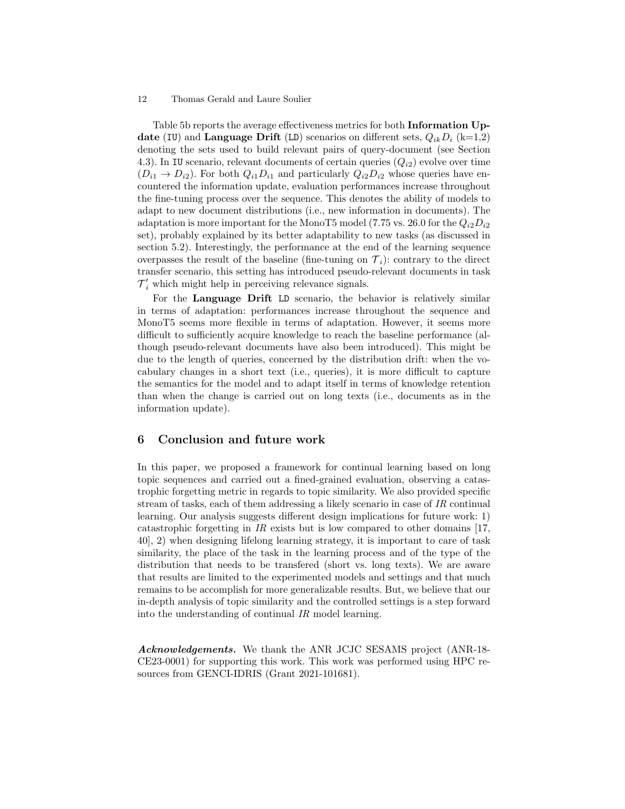Table 5b reports the average effectiveness metrics for both Information Update (IU) and Language Drift (LD) scenarios on different sets,  $Q_{ik}D_i$  (k=1,2) denoting the sets used to build relevant pairs of query-document (see Section 4.3). In IU scenario, relevant documents of certain queries  $(Q_{i2})$  evolve over time  $(D_{i1} \rightarrow D_{i2})$ . For both  $Q_{i1}D_{i1}$  and particularly  $Q_{i2}D_{i2}$  whose queries have encountered the information update, evaluation performances increase throughout the fine-tuning process over the sequence. This denotes the ability of models to adapt to new document distributions (i.e., new information in documents). The adaptation is more important for the MonoT5 model (7.75 vs. 26.0 for the  $Q_{i2}D_{i2}$ set), probably explained by its better adaptability to new tasks (as discussed in section 5.2). Interestingly, the performance at the end of the learning sequence overpasses the result of the baseline (fine-tuning on  $\mathcal{T}_i$ ): contrary to the direct transfer scenario, this setting has introduced pseudo-relevant documents in task  $\mathcal{T}'_i$  which might help in perceiving relevance signals.

For the Language Drift LD scenario, the behavior is relatively similar in terms of adaptation: performances increase throughout the sequence and MonoT5 seems more flexible in terms of adaptation. However, it seems more difficult to sufficiently acquire knowledge to reach the baseline performance (although pseudo-relevant documents have also been introduced). This might be due to the length of queries, concerned by the distribution drift: when the vocabulary changes in a short text (i.e., queries), it is more difficult to capture the semantics for the model and to adapt itself in terms of knowledge retention than when the change is carried out on long texts (i.e., documents as in the information update).

# 6 Conclusion and future work

In this paper, we proposed a framework for continual learning based on long topic sequences and carried out a fined-grained evaluation, observing a catastrophic forgetting metric in regards to topic similarity. We also provided specific stream of tasks, each of them addressing a likely scenario in case of IR continual learning. Our analysis suggests different design implications for future work: 1) catastrophic forgetting in IR exists but is low compared to other domains [17, 40], 2) when designing lifelong learning strategy, it is important to care of task similarity, the place of the task in the learning process and of the type of the distribution that needs to be transfered (short vs. long texts). We are aware that results are limited to the experimented models and settings and that much remains to be accomplish for more generalizable results. But, we believe that our in-depth analysis of topic similarity and the controlled settings is a step forward into the understanding of continual IR model learning.

Acknowledgements. We thank the ANR JCJC SESAMS project (ANR-18- CE23-0001) for supporting this work. This work was performed using HPC resources from GENCI-IDRIS (Grant 2021-101681).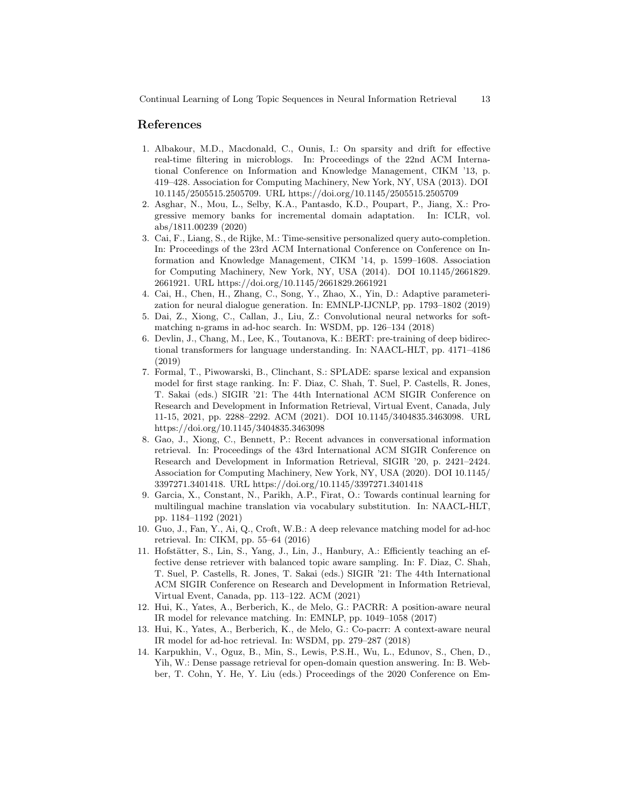## References

- 1. Albakour, M.D., Macdonald, C., Ounis, I.: On sparsity and drift for effective real-time filtering in microblogs. In: Proceedings of the 22nd ACM International Conference on Information and Knowledge Management, CIKM '13, p. 419–428. Association for Computing Machinery, New York, NY, USA (2013). DOI 10.1145/2505515.2505709. URL https://doi.org/10.1145/2505515.2505709
- 2. Asghar, N., Mou, L., Selby, K.A., Pantasdo, K.D., Poupart, P., Jiang, X.: Progressive memory banks for incremental domain adaptation. In: ICLR, vol. abs/1811.00239 (2020)
- 3. Cai, F., Liang, S., de Rijke, M.: Time-sensitive personalized query auto-completion. In: Proceedings of the 23rd ACM International Conference on Conference on Information and Knowledge Management, CIKM '14, p. 1599–1608. Association for Computing Machinery, New York, NY, USA (2014). DOI 10.1145/2661829. 2661921. URL https://doi.org/10.1145/2661829.2661921
- 4. Cai, H., Chen, H., Zhang, C., Song, Y., Zhao, X., Yin, D.: Adaptive parameterization for neural dialogue generation. In: EMNLP-IJCNLP, pp. 1793–1802 (2019)
- 5. Dai, Z., Xiong, C., Callan, J., Liu, Z.: Convolutional neural networks for softmatching n-grams in ad-hoc search. In: WSDM, pp. 126–134 (2018)
- 6. Devlin, J., Chang, M., Lee, K., Toutanova, K.: BERT: pre-training of deep bidirectional transformers for language understanding. In: NAACL-HLT, pp. 4171–4186 (2019)
- 7. Formal, T., Piwowarski, B., Clinchant, S.: SPLADE: sparse lexical and expansion model for first stage ranking. In: F. Diaz, C. Shah, T. Suel, P. Castells, R. Jones, T. Sakai (eds.) SIGIR '21: The 44th International ACM SIGIR Conference on Research and Development in Information Retrieval, Virtual Event, Canada, July 11-15, 2021, pp. 2288–2292. ACM (2021). DOI 10.1145/3404835.3463098. URL https://doi.org/10.1145/3404835.3463098
- 8. Gao, J., Xiong, C., Bennett, P.: Recent advances in conversational information retrieval. In: Proceedings of the 43rd International ACM SIGIR Conference on Research and Development in Information Retrieval, SIGIR '20, p. 2421–2424. Association for Computing Machinery, New York, NY, USA (2020). DOI 10.1145/ 3397271.3401418. URL https://doi.org/10.1145/3397271.3401418
- 9. Garcia, X., Constant, N., Parikh, A.P., Firat, O.: Towards continual learning for multilingual machine translation via vocabulary substitution. In: NAACL-HLT, pp. 1184–1192 (2021)
- 10. Guo, J., Fan, Y., Ai, Q., Croft, W.B.: A deep relevance matching model for ad-hoc retrieval. In: CIKM, pp. 55–64 (2016)
- 11. Hofstätter, S., Lin, S., Yang, J., Lin, J., Hanbury, A.: Efficiently teaching an effective dense retriever with balanced topic aware sampling. In: F. Diaz, C. Shah, T. Suel, P. Castells, R. Jones, T. Sakai (eds.) SIGIR '21: The 44th International ACM SIGIR Conference on Research and Development in Information Retrieval, Virtual Event, Canada, pp. 113–122. ACM (2021)
- 12. Hui, K., Yates, A., Berberich, K., de Melo, G.: PACRR: A position-aware neural IR model for relevance matching. In: EMNLP, pp. 1049–1058 (2017)
- 13. Hui, K., Yates, A., Berberich, K., de Melo, G.: Co-pacrr: A context-aware neural IR model for ad-hoc retrieval. In: WSDM, pp. 279–287 (2018)
- 14. Karpukhin, V., Oguz, B., Min, S., Lewis, P.S.H., Wu, L., Edunov, S., Chen, D., Yih, W.: Dense passage retrieval for open-domain question answering. In: B. Webber, T. Cohn, Y. He, Y. Liu (eds.) Proceedings of the 2020 Conference on Em-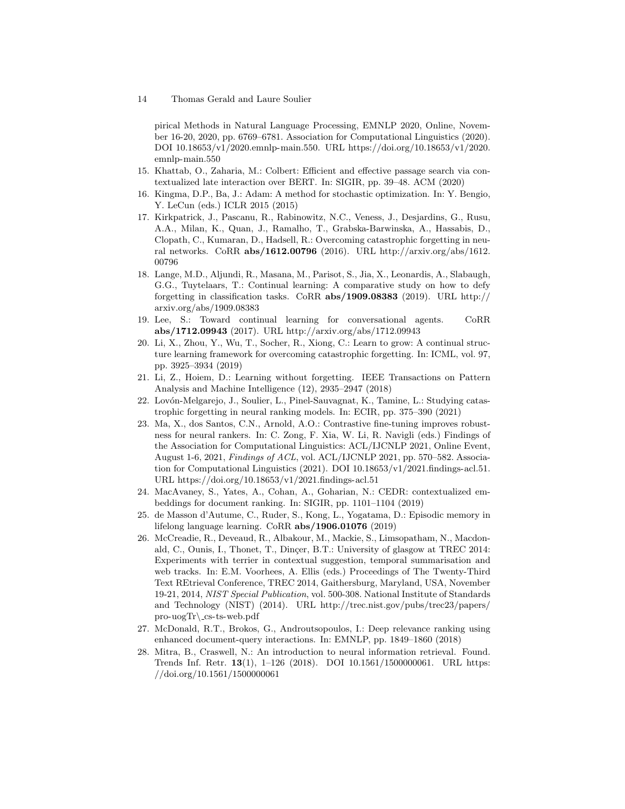pirical Methods in Natural Language Processing, EMNLP 2020, Online, November 16-20, 2020, pp. 6769–6781. Association for Computational Linguistics (2020). DOI 10.18653/v1/2020.emnlp-main.550. URL https://doi.org/10.18653/v1/2020. emnlp-main.550

- 15. Khattab, O., Zaharia, M.: Colbert: Efficient and effective passage search via contextualized late interaction over BERT. In: SIGIR, pp. 39–48. ACM (2020)
- 16. Kingma, D.P., Ba, J.: Adam: A method for stochastic optimization. In: Y. Bengio, Y. LeCun (eds.) ICLR 2015 (2015)
- 17. Kirkpatrick, J., Pascanu, R., Rabinowitz, N.C., Veness, J., Desjardins, G., Rusu, A.A., Milan, K., Quan, J., Ramalho, T., Grabska-Barwinska, A., Hassabis, D., Clopath, C., Kumaran, D., Hadsell, R.: Overcoming catastrophic forgetting in neural networks. CoRR abs/1612.00796 (2016). URL http://arxiv.org/abs/1612. 00796
- 18. Lange, M.D., Aljundi, R., Masana, M., Parisot, S., Jia, X., Leonardis, A., Slabaugh, G.G., Tuytelaars, T.: Continual learning: A comparative study on how to defy forgetting in classification tasks. CoRR abs/1909.08383 (2019). URL http:// arxiv.org/abs/1909.08383
- 19. Lee, S.: Toward continual learning for conversational agents. CoRR abs/1712.09943 (2017). URL http://arxiv.org/abs/1712.09943
- 20. Li, X., Zhou, Y., Wu, T., Socher, R., Xiong, C.: Learn to grow: A continual structure learning framework for overcoming catastrophic forgetting. In: ICML, vol. 97, pp. 3925–3934 (2019)
- 21. Li, Z., Hoiem, D.: Learning without forgetting. IEEE Transactions on Pattern Analysis and Machine Intelligence (12), 2935–2947 (2018)
- 22. Lov´on-Melgarejo, J., Soulier, L., Pinel-Sauvagnat, K., Tamine, L.: Studying catastrophic forgetting in neural ranking models. In: ECIR, pp. 375–390 (2021)
- 23. Ma, X., dos Santos, C.N., Arnold, A.O.: Contrastive fine-tuning improves robustness for neural rankers. In: C. Zong, F. Xia, W. Li, R. Navigli (eds.) Findings of the Association for Computational Linguistics: ACL/IJCNLP 2021, Online Event, August 1-6, 2021, Findings of ACL, vol. ACL/IJCNLP 2021, pp. 570–582. Association for Computational Linguistics (2021). DOI 10.18653/v1/2021.findings-acl.51. URL https://doi.org/10.18653/v1/2021.findings-acl.51
- 24. MacAvaney, S., Yates, A., Cohan, A., Goharian, N.: CEDR: contextualized embeddings for document ranking. In: SIGIR, pp. 1101–1104 (2019)
- 25. de Masson d'Autume, C., Ruder, S., Kong, L., Yogatama, D.: Episodic memory in lifelong language learning. CoRR abs/1906.01076 (2019)
- 26. McCreadie, R., Deveaud, R., Albakour, M., Mackie, S., Limsopatham, N., Macdonald, C., Ounis, I., Thonet, T., Dinçer, B.T.: University of glasgow at TREC 2014: Experiments with terrier in contextual suggestion, temporal summarisation and web tracks. In: E.M. Voorhees, A. Ellis (eds.) Proceedings of The Twenty-Third Text REtrieval Conference, TREC 2014, Gaithersburg, Maryland, USA, November 19-21, 2014, NIST Special Publication, vol. 500-308. National Institute of Standards and Technology (NIST) (2014). URL http://trec.nist.gov/pubs/trec23/papers/  $pro- uogTr\csc-s-web.pdf$
- 27. McDonald, R.T., Brokos, G., Androutsopoulos, I.: Deep relevance ranking using enhanced document-query interactions. In: EMNLP, pp. 1849–1860 (2018)
- 28. Mitra, B., Craswell, N.: An introduction to neural information retrieval. Found. Trends Inf. Retr. 13(1), 1–126 (2018). DOI 10.1561/1500000061. URL https: //doi.org/10.1561/1500000061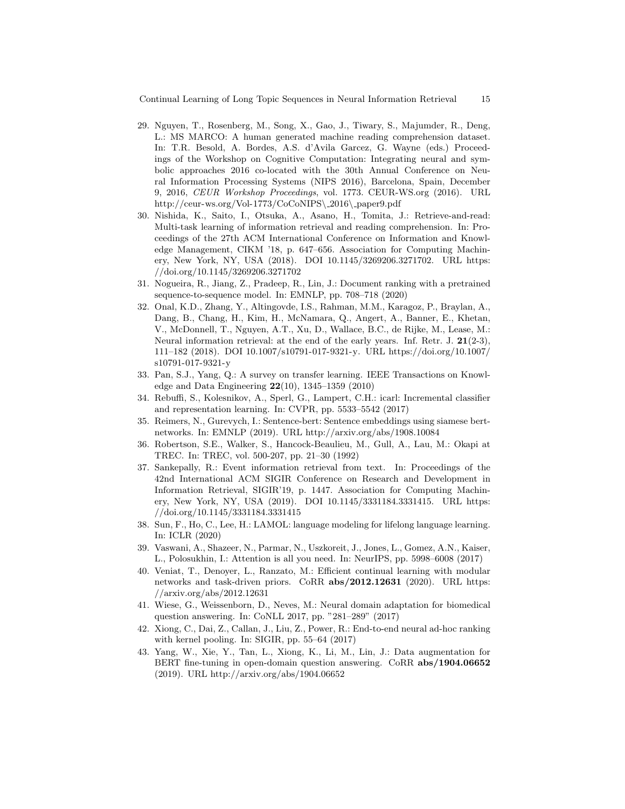Continual Learning of Long Topic Sequences in Neural Information Retrieval 15

- 29. Nguyen, T., Rosenberg, M., Song, X., Gao, J., Tiwary, S., Majumder, R., Deng, L.: MS MARCO: A human generated machine reading comprehension dataset. In: T.R. Besold, A. Bordes, A.S. d'Avila Garcez, G. Wayne (eds.) Proceedings of the Workshop on Cognitive Computation: Integrating neural and symbolic approaches 2016 co-located with the 30th Annual Conference on Neural Information Processing Systems (NIPS 2016), Barcelona, Spain, December 9, 2016, CEUR Workshop Proceedings, vol. 1773. CEUR-WS.org (2016). URL http://ceur-ws.org/Vol-1773/CoCoNIPS\ 2016\ paper9.pdf
- 30. Nishida, K., Saito, I., Otsuka, A., Asano, H., Tomita, J.: Retrieve-and-read: Multi-task learning of information retrieval and reading comprehension. In: Proceedings of the 27th ACM International Conference on Information and Knowledge Management, CIKM '18, p. 647–656. Association for Computing Machinery, New York, NY, USA (2018). DOI 10.1145/3269206.3271702. URL https: //doi.org/10.1145/3269206.3271702
- 31. Nogueira, R., Jiang, Z., Pradeep, R., Lin, J.: Document ranking with a pretrained sequence-to-sequence model. In: EMNLP, pp. 708–718 (2020)
- 32. Onal, K.D., Zhang, Y., Altingovde, I.S., Rahman, M.M., Karagoz, P., Braylan, A., Dang, B., Chang, H., Kim, H., McNamara, Q., Angert, A., Banner, E., Khetan, V., McDonnell, T., Nguyen, A.T., Xu, D., Wallace, B.C., de Rijke, M., Lease, M.: Neural information retrieval: at the end of the early years. Inf. Retr. J.  $21(2-3)$ , 111–182 (2018). DOI 10.1007/s10791-017-9321-y. URL https://doi.org/10.1007/ s10791-017-9321-y
- 33. Pan, S.J., Yang, Q.: A survey on transfer learning. IEEE Transactions on Knowledge and Data Engineering 22(10), 1345–1359 (2010)
- 34. Rebuffi, S., Kolesnikov, A., Sperl, G., Lampert, C.H.: icarl: Incremental classifier and representation learning. In: CVPR, pp. 5533–5542 (2017)
- 35. Reimers, N., Gurevych, I.: Sentence-bert: Sentence embeddings using siamese bertnetworks. In: EMNLP (2019). URL http://arxiv.org/abs/1908.10084
- 36. Robertson, S.E., Walker, S., Hancock-Beaulieu, M., Gull, A., Lau, M.: Okapi at TREC. In: TREC, vol. 500-207, pp. 21–30 (1992)
- 37. Sankepally, R.: Event information retrieval from text. In: Proceedings of the 42nd International ACM SIGIR Conference on Research and Development in Information Retrieval, SIGIR'19, p. 1447. Association for Computing Machinery, New York, NY, USA (2019). DOI 10.1145/3331184.3331415. URL https: //doi.org/10.1145/3331184.3331415
- 38. Sun, F., Ho, C., Lee, H.: LAMOL: language modeling for lifelong language learning. In: ICLR (2020)
- 39. Vaswani, A., Shazeer, N., Parmar, N., Uszkoreit, J., Jones, L., Gomez, A.N., Kaiser, L., Polosukhin, I.: Attention is all you need. In: NeurIPS, pp. 5998–6008 (2017)
- 40. Veniat, T., Denoyer, L., Ranzato, M.: Efficient continual learning with modular networks and task-driven priors. CoRR abs/2012.12631 (2020). URL https: //arxiv.org/abs/2012.12631
- 41. Wiese, G., Weissenborn, D., Neves, M.: Neural domain adaptation for biomedical question answering. In: CoNLL 2017, pp. "281–289" (2017)
- 42. Xiong, C., Dai, Z., Callan, J., Liu, Z., Power, R.: End-to-end neural ad-hoc ranking with kernel pooling. In: SIGIR, pp. 55–64 (2017)
- 43. Yang, W., Xie, Y., Tan, L., Xiong, K., Li, M., Lin, J.: Data augmentation for BERT fine-tuning in open-domain question answering. CoRR abs/1904.06652 (2019). URL http://arxiv.org/abs/1904.06652